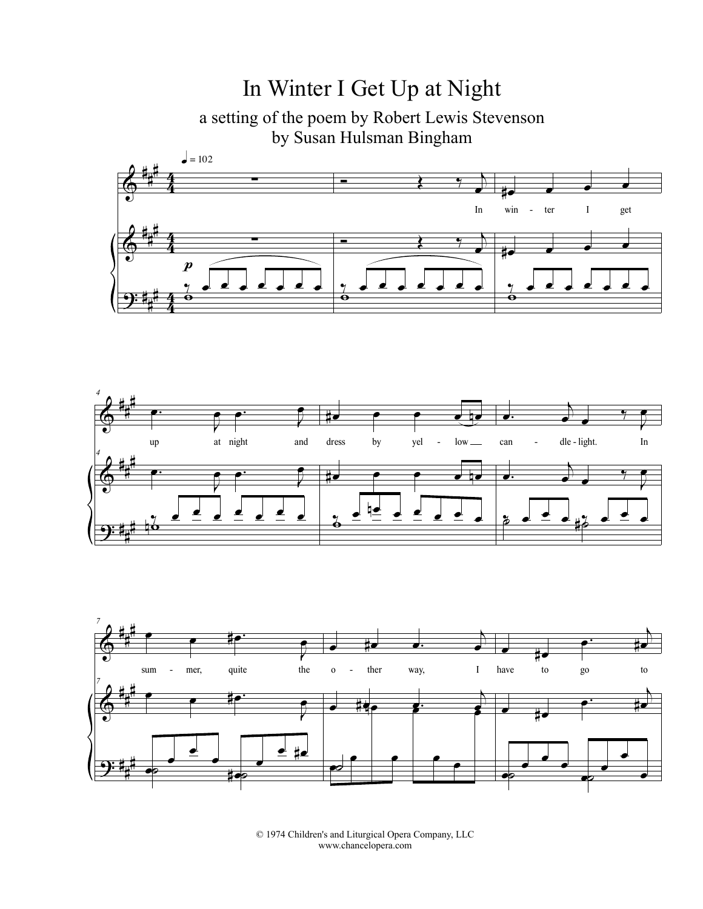## In Winter I Get Up at Night

a setting of the poem by Robert Lewis Stevenson by Susan Hulsman Bingham







© 1974 Children's and Liturgical Opera Company, LLC www.chancelopera.com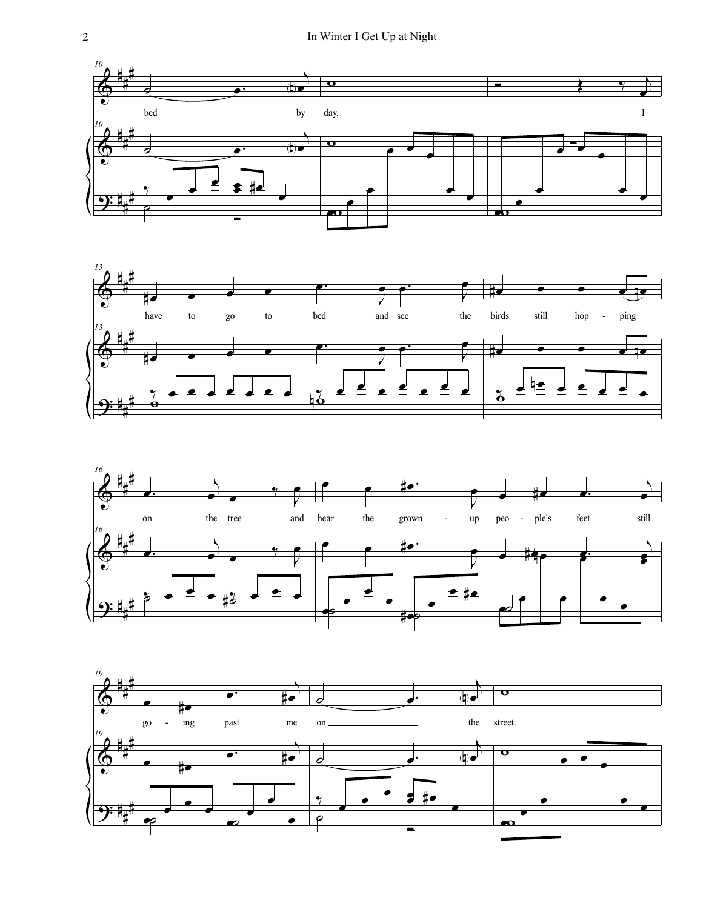